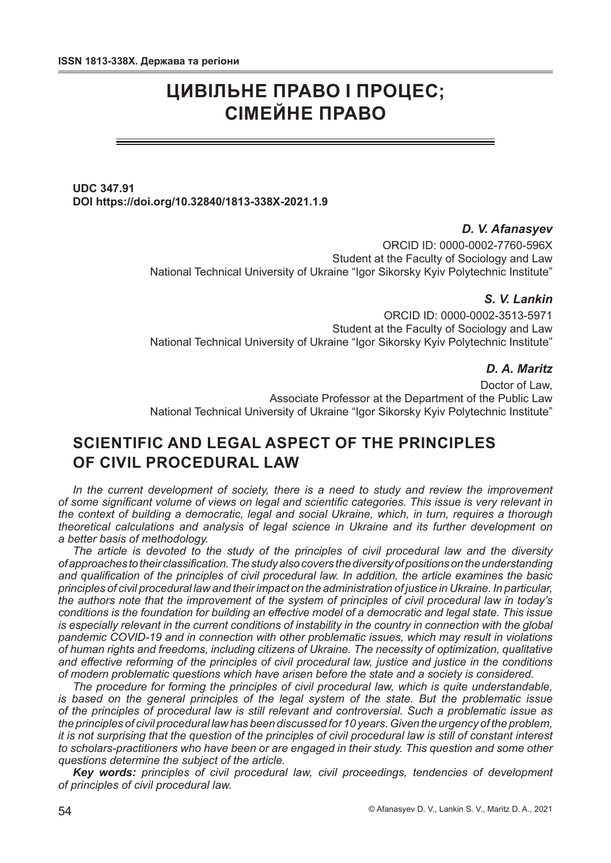# **ЦИВІЛЬНЕ ПРАВО І ПРОЦЕС; СІМЕЙНЕ ПРАВО**

## **UDC 347.91 DOI https://doi.org/10.32840/1813-338X-2021.1.9**

# *D. V. Afanasyev*

ORCID ID: 0000-0002-7760-596X Student at the Faculty of Sociology and Law National Technical University of Ukraine "Igor Sikorsky Kyiv Polytechnic Institute"

#### *S. V. Lankin*

ORCID ID: 0000-0002-3513-5971 Student at the Faculty of Sociology and Law National Technical University of Ukraine "Igor Sikorsky Kyiv Polytechnic Institute"

#### *D. A. Maritz*

Doctor of Law, Associate Professor at the Department of the Public Law National Technical University of Ukraine "Igor Sikorsky Kyiv Polytechnic Institute"

# **SCIENTIFIC AND LEGAL ASPECT OF THE PRINCIPLES OF CIVIL PROCEDURAL LAW**

*In the current development of society, there is a need to study and review the improvement of some significant volume of views on legal and scientific categories. This issue is very relevant in the context of building a democratic, legal and social Ukraine, which, in turn, requires a thorough theoretical calculations and analysis of legal science in Ukraine and its further development on a better basis of methodology.*

*The article is devoted to the study of the principles of civil procedural law and the diversity of approaches to their classification. The study also covers the diversity of positions on the understanding and qualification of the principles of civil procedural law. In addition, the article examines the basic principles of civil procedural law and their impact on the administration of justice in Ukraine. In particular, the authors note that the improvement of the system of principles of civil procedural law in today's conditions is the foundation for building an effective model of a democratic and legal state. This issue is especially relevant in the current conditions of instability in the country in connection with the global pandemic COVID-19 and in connection with other problematic issues, which may result in violations of human rights and freedoms, including citizens of Ukraine. The necessity of optimization, qualitative and effective reforming of the principles of civil procedural law, justice and justice in the conditions of modern problematic questions which have arisen before the state and a society is considered.*

*The procedure for forming the principles of civil procedural law, which is quite understandable, is based on the general principles of the legal system of the state. But the problematic issue of the principles of procedural law is still relevant and controversial. Such a problematic issue as the principles of civil procedural law has been discussed for 10 years. Given the urgency of the problem, it is not surprising that the question of the principles of civil procedural law is still of constant interest to scholars-practitioners who have been or are engaged in their study. This question and some other questions determine the subject of the article.*

*Key words: principles of civil procedural law, civil proceedings, tendencies of development of principles of civil procedural law.*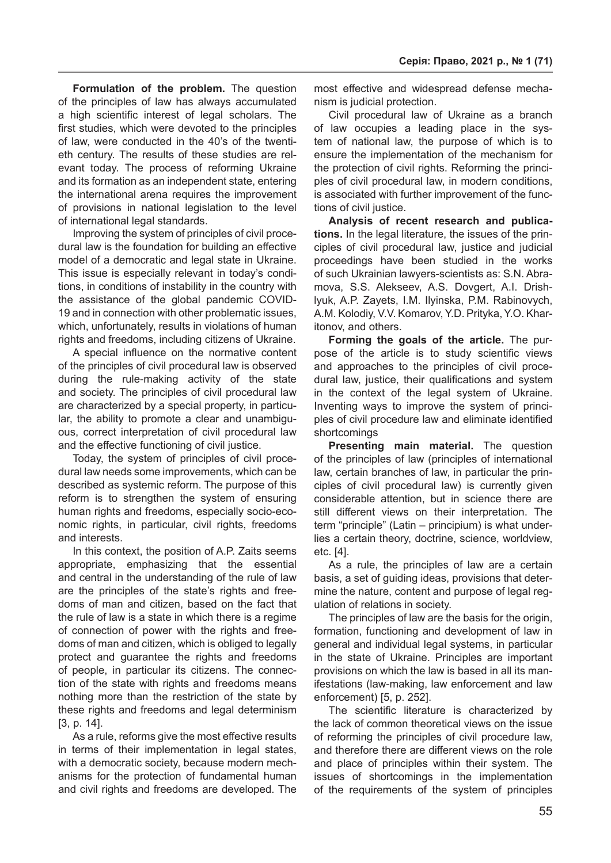**Formulation of the problem.** The question of the principles of law has always accumulated a high scientific interest of legal scholars. The first studies, which were devoted to the principles of law, were conducted in the 40's of the twentieth century. The results of these studies are relevant today. The process of reforming Ukraine and its formation as an independent state, entering the international arena requires the improvement of provisions in national legislation to the level of international legal standards.

Improving the system of principles of civil procedural law is the foundation for building an effective model of a democratic and legal state in Ukraine. This issue is especially relevant in today's conditions, in conditions of instability in the country with the assistance of the global pandemic COVID-19 and in connection with other problematic issues, which, unfortunately, results in violations of human rights and freedoms, including citizens of Ukraine.

A special influence on the normative content of the principles of civil procedural law is observed during the rule-making activity of the state and society. The principles of civil procedural law are characterized by a special property, in particular, the ability to promote a clear and unambiguous, correct interpretation of civil procedural law and the effective functioning of civil justice.

Today, the system of principles of civil procedural law needs some improvements, which can be described as systemic reform. The purpose of this reform is to strengthen the system of ensuring human rights and freedoms, especially socio-economic rights, in particular, civil rights, freedoms and interests.

In this context, the position of A.P. Zaits seems appropriate, emphasizing that the essential and central in the understanding of the rule of law are the principles of the state's rights and freedoms of man and citizen, based on the fact that the rule of law is a state in which there is a regime of connection of power with the rights and freedoms of man and citizen, which is obliged to legally protect and guarantee the rights and freedoms of people, in particular its citizens. The connection of the state with rights and freedoms means nothing more than the restriction of the state by these rights and freedoms and legal determinism [3, p. 14].

As a rule, reforms give the most effective results in terms of their implementation in legal states, with a democratic society, because modern mechanisms for the protection of fundamental human and civil rights and freedoms are developed. The

most effective and widespread defense mechanism is judicial protection.

Civil procedural law of Ukraine as a branch of law occupies a leading place in the system of national law, the purpose of which is to ensure the implementation of the mechanism for the protection of civil rights. Reforming the principles of civil procedural law, in modern conditions, is associated with further improvement of the functions of civil justice.

**Analysis of recent research and publications.** In the legal literature, the issues of the principles of civil procedural law, justice and judicial proceedings have been studied in the works of such Ukrainian lawyers-scientists as: S.N. Abramova, S.S. Alekseev, A.S. Dovgert, A.I. Drishlyuk, A.P. Zayets, I.M. Ilyinska, P.M. Rabinovych, A.M. Kolodiy, V.V. Komarov, Y.D. Prityka, Y.O. Kharitonov, and others.

**Forming the goals of the article.** The purpose of the article is to study scientific views and approaches to the principles of civil procedural law, justice, their qualifications and system in the context of the legal system of Ukraine. Inventing ways to improve the system of principles of civil procedure law and eliminate identified shortcomings

**Presenting main material.** The question of the principles of law (principles of international law, certain branches of law, in particular the principles of civil procedural law) is currently given considerable attention, but in science there are still different views on their interpretation. The term "principle" (Latin – principium) is what underlies a certain theory, doctrine, science, worldview, etc. [4].

As a rule, the principles of law are a certain basis, a set of guiding ideas, provisions that determine the nature, content and purpose of legal regulation of relations in society.

The principles of law are the basis for the origin, formation, functioning and development of law in general and individual legal systems, in particular in the state of Ukraine. Principles are important provisions on which the law is based in all its manifestations (law-making, law enforcement and law enforcement) [5, p. 252].

The scientific literature is characterized by the lack of common theoretical views on the issue of reforming the principles of civil procedure law, and therefore there are different views on the role and place of principles within their system. The issues of shortcomings in the implementation of the requirements of the system of principles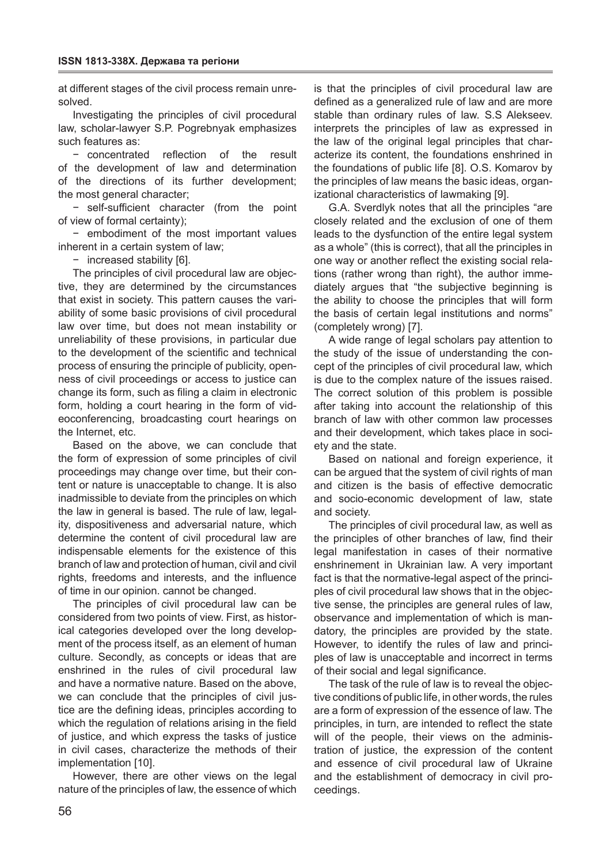at different stages of the civil process remain unresolved.

Investigating the principles of civil procedural law, scholar-lawyer S.P. Pogrebnyak emphasizes such features as:

− concentrated reflection of the result of the development of law and determination of the directions of its further development; the most general character;

− self-sufficient character (from the point of view of formal certainty);

− embodiment of the most important values inherent in a certain system of law;

− increased stability [6].

The principles of civil procedural law are objective, they are determined by the circumstances that exist in society. This pattern causes the variability of some basic provisions of civil procedural law over time, but does not mean instability or unreliability of these provisions, in particular due to the development of the scientific and technical process of ensuring the principle of publicity, openness of civil proceedings or access to justice can change its form, such as filing a claim in electronic form, holding a court hearing in the form of videoconferencing, broadcasting court hearings on the Internet, etc.

Based on the above, we can conclude that the form of expression of some principles of civil proceedings may change over time, but their content or nature is unacceptable to change. It is also inadmissible to deviate from the principles on which the law in general is based. The rule of law, legality, dispositiveness and adversarial nature, which determine the content of civil procedural law are indispensable elements for the existence of this branch of law and protection of human, civil and civil rights, freedoms and interests, and the influence of time in our opinion. cannot be changed.

The principles of civil procedural law can be considered from two points of view. First, as historical categories developed over the long development of the process itself, as an element of human culture. Secondly, as concepts or ideas that are enshrined in the rules of civil procedural law and have a normative nature. Based on the above, we can conclude that the principles of civil justice are the defining ideas, principles according to which the regulation of relations arising in the field of justice, and which express the tasks of justice in civil cases, characterize the methods of their implementation [10].

However, there are other views on the legal nature of the principles of law, the essence of which

is that the principles of civil procedural law are defined as a generalized rule of law and are more stable than ordinary rules of law. S.S Alekseev. interprets the principles of law as expressed in the law of the original legal principles that characterize its content, the foundations enshrined in the foundations of public life [8]. O.S. Komarov by the principles of law means the basic ideas, organizational characteristics of lawmaking [9].

G.A. Sverdlyk notes that all the principles "are closely related and the exclusion of one of them leads to the dysfunction of the entire legal system as a whole" (this is correct), that all the principles in one way or another reflect the existing social relations (rather wrong than right), the author immediately argues that "the subjective beginning is the ability to choose the principles that will form the basis of certain legal institutions and norms" (completely wrong) [7].

A wide range of legal scholars pay attention to the study of the issue of understanding the concept of the principles of civil procedural law, which is due to the complex nature of the issues raised. The correct solution of this problem is possible after taking into account the relationship of this branch of law with other common law processes and their development, which takes place in society and the state.

Based on national and foreign experience, it can be argued that the system of civil rights of man and citizen is the basis of effective democratic and socio-economic development of law, state and society.

The principles of civil procedural law, as well as the principles of other branches of law, find their legal manifestation in cases of their normative enshrinement in Ukrainian law. A very important fact is that the normative-legal aspect of the principles of civil procedural law shows that in the objective sense, the principles are general rules of law, observance and implementation of which is mandatory, the principles are provided by the state. However, to identify the rules of law and principles of law is unacceptable and incorrect in terms of their social and legal significance.

The task of the rule of law is to reveal the objective conditions of public life, in other words, the rules are a form of expression of the essence of law. The principles, in turn, are intended to reflect the state will of the people, their views on the administration of justice, the expression of the content and essence of civil procedural law of Ukraine and the establishment of democracy in civil proceedings.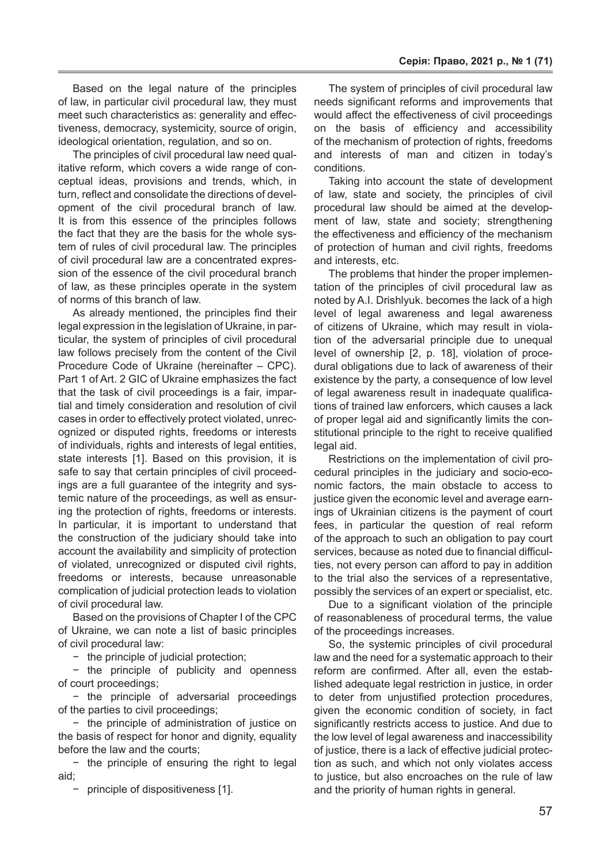Based on the legal nature of the principles of law, in particular civil procedural law, they must meet such characteristics as: generality and effectiveness, democracy, systemicity, source of origin, ideological orientation, regulation, and so on.

The principles of civil procedural law need qualitative reform, which covers a wide range of conceptual ideas, provisions and trends, which, in turn, reflect and consolidate the directions of development of the civil procedural branch of law. It is from this essence of the principles follows the fact that they are the basis for the whole system of rules of civil procedural law. The principles of civil procedural law are a concentrated expression of the essence of the civil procedural branch of law, as these principles operate in the system of norms of this branch of law.

As already mentioned, the principles find their legal expression in the legislation of Ukraine, in particular, the system of principles of civil procedural law follows precisely from the content of the Civil Procedure Code of Ukraine (hereinafter – CPC). Part 1 of Art. 2 GIC of Ukraine emphasizes the fact that the task of civil proceedings is a fair, impartial and timely consideration and resolution of civil cases in order to effectively protect violated, unrecognized or disputed rights, freedoms or interests of individuals, rights and interests of legal entities, state interests [1]. Based on this provision, it is safe to say that certain principles of civil proceedings are a full guarantee of the integrity and systemic nature of the proceedings, as well as ensuring the protection of rights, freedoms or interests. In particular, it is important to understand that the construction of the judiciary should take into account the availability and simplicity of protection of violated, unrecognized or disputed civil rights, freedoms or interests, because unreasonable complication of judicial protection leads to violation of civil procedural law.

Based on the provisions of Chapter I of the CPC of Ukraine, we can note a list of basic principles of civil procedural law:

− the principle of judicial protection;

− the principle of publicity and openness of court proceedings;

− the principle of adversarial proceedings of the parties to civil proceedings;

− the principle of administration of justice on the basis of respect for honor and dignity, equality before the law and the courts;

− the principle of ensuring the right to legal aid;

− principle of dispositiveness [1].

The system of principles of civil procedural law needs significant reforms and improvements that would affect the effectiveness of civil proceedings on the basis of efficiency and accessibility of the mechanism of protection of rights, freedoms and interests of man and citizen in today's conditions.

Taking into account the state of development of law, state and society, the principles of civil procedural law should be aimed at the development of law, state and society; strengthening the effectiveness and efficiency of the mechanism of protection of human and civil rights, freedoms and interests, etc.

The problems that hinder the proper implementation of the principles of civil procedural law as noted by A.I. Drishlyuk. becomes the lack of a high level of legal awareness and legal awareness of citizens of Ukraine, which may result in violation of the adversarial principle due to unequal level of ownership [2, p. 18], violation of procedural obligations due to lack of awareness of their existence by the party, a consequence of low level of legal awareness result in inadequate qualifications of trained law enforcers, which causes a lack of proper legal aid and significantly limits the constitutional principle to the right to receive qualified legal aid.

Restrictions on the implementation of civil procedural principles in the judiciary and socio-economic factors, the main obstacle to access to justice given the economic level and average earnings of Ukrainian citizens is the payment of court fees, in particular the question of real reform of the approach to such an obligation to pay court services, because as noted due to financial difficulties, not every person can afford to pay in addition to the trial also the services of a representative, possibly the services of an expert or specialist, etc.

Due to a significant violation of the principle of reasonableness of procedural terms, the value of the proceedings increases.

So, the systemic principles of civil procedural law and the need for a systematic approach to their reform are confirmed. After all, even the established adequate legal restriction in justice, in order to deter from unjustified protection procedures, given the economic condition of society, in fact significantly restricts access to justice. And due to the low level of legal awareness and inaccessibility of justice, there is a lack of effective judicial protection as such, and which not only violates access to justice, but also encroaches on the rule of law and the priority of human rights in general.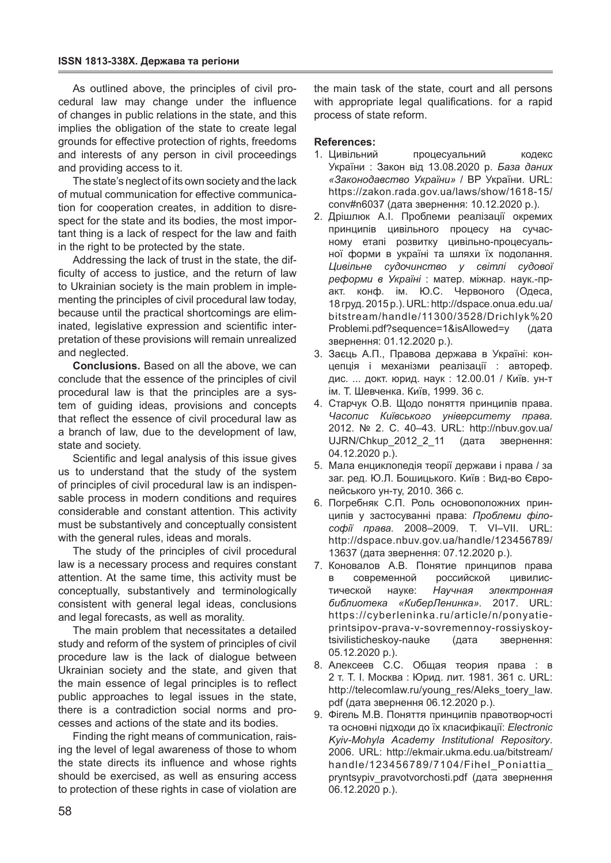As outlined above, the principles of civil procedural law may change under the influence of changes in public relations in the state, and this implies the obligation of the state to create legal grounds for effective protection of rights, freedoms and interests of any person in civil proceedings and providing access to it.

The state's neglect of its own society and the lack of mutual communication for effective communication for cooperation creates, in addition to disrespect for the state and its bodies, the most important thing is a lack of respect for the law and faith in the right to be protected by the state.

Addressing the lack of trust in the state, the difficulty of access to justice, and the return of law to Ukrainian society is the main problem in implementing the principles of civil procedural law today, because until the practical shortcomings are eliminated, legislative expression and scientific interpretation of these provisions will remain unrealized and neglected.

**Conclusions.** Based on all the above, we can conclude that the essence of the principles of civil procedural law is that the principles are a system of guiding ideas, provisions and concepts that reflect the essence of civil procedural law as a branch of law, due to the development of law, state and society.

Scientific and legal analysis of this issue gives us to understand that the study of the system of principles of civil procedural law is an indispensable process in modern conditions and requires considerable and constant attention. This activity must be substantively and conceptually consistent with the general rules, ideas and morals.

The study of the principles of civil procedural law is a necessary process and requires constant attention. At the same time, this activity must be conceptually, substantively and terminologically consistent with general legal ideas, conclusions and legal forecasts, as well as morality.

The main problem that necessitates a detailed study and reform of the system of principles of civil procedure law is the lack of dialogue between Ukrainian society and the state, and given that the main essence of legal principles is to reflect public approaches to legal issues in the state, there is a contradiction social norms and processes and actions of the state and its bodies.

Finding the right means of communication, raising the level of legal awareness of those to whom the state directs its influence and whose rights should be exercised, as well as ensuring access to protection of these rights in case of violation are

the main task of the state, court and all persons with appropriate legal qualifications. for a rapid process of state reform.

#### **References:**

- 1. Цивільний процесуальний кодекс України : Закон від 13.08.2020 р. *База даних «Законодавство України»* / ВР України. URL: https://zakon.rada.gov.ua/laws/show/1618-15/ conv#n6037 (дата звернення: 10.12.2020 р.).
- 2. Дрішлюк А.І. Проблеми реалізації окремих принципів цивільного процесу на сучасному етапі розвитку цивільно-процесуальної форми в україні та шляхи їх подолання. *Цивільне судочинство у світлі судової реформи в Україні* : матер. міжнар. наук.-практ. конф. ім. Ю.С. Червоного (Одеса, 18 груд. 2015 р.). URL: http://dspace.onua.edu.ua/ bitstream/handle/11300/3528/Drichlyk%20 Problemi.pdf?sequence=1&isAllowed=y (дата звернення: 01.12.2020 р.).
- 3. Заєць А.П., Правова держава в Україні: концепція і механізми реалізації : автореф. дис. ... докт. юрид. наук : 12.00.01 / Київ. ун-т ім. Т. Шевченка. Київ, 1999. 36 с.
- 4. Старчук О.В. Щодо поняття принципів права. *Часопис Київського університету права.* 2012. № 2. С. 40–43. URL: http://nbuv.gov.ua/ UJRN/Chkup\_2012\_2\_11 (дата звернення: 04.12.2020 р.).
- 5. Мала енциклопедія теорії держави і права / за заг. ред. Ю.Л. Бошицького. Київ : Вид-во Європейського ун-ту, 2010. 366 с.
- 6. Погребняк С.П. Роль основоположних принципів у застосуванні права: *Проблеми філософії права.* 2008–2009. Т. VI–VII. URL: http://dspace.nbuv.gov.ua/handle/123456789/ 13637 (дата звернення: 07.12.2020 р.).
- 7. Коновалов А.В. Понятие принципов права в современной российской цивилистической науке: *Научная электронная библиотека «КиберЛенинка».* 2017. URL: https://cyberleninka.ru/article/n/ponyatieprintsipov-prava-v-sovremennoy-rossiyskoytsivilisticheskoy-nauke (дата звернення: 05.12.2020 р.).
- 8. Алексеев С.С. Общая теория права : в 2 т. Т. I. Москва : Юрид. лит. 1981. 361 с. URL: http://telecomlaw.ru/young\_res/Aleks\_toery\_law. pdf (дата звернення 06.12.2020 р.).
- 9. Фігель Μ.Β. Поняття принципів правотворчості та основні підходи до їх класифікації: *Electronic Kyiv-Mohyla Academy Institutional Repository*. 2006. URL: http://ekmair.ukma.edu.ua/bitstream/ handle/123456789/7104/Fihel\_Poniattia\_ pryntsypiv\_pravotvorchosti.pdf (дата звернення 06.12.2020 р.).